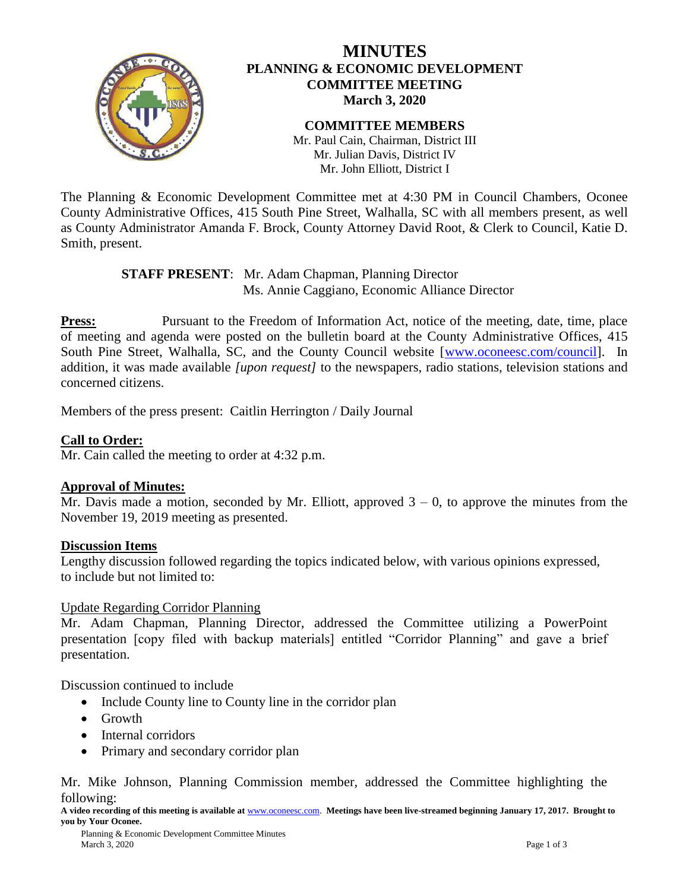

## **MINUTES PLANNING & ECONOMIC DEVELOPMENT COMMITTEE MEETING March 3, 2020**

**COMMITTEE MEMBERS** Mr. Paul Cain, Chairman, District III Mr. Julian Davis, District IV Mr. John Elliott, District I

The Planning & Economic Development Committee met at 4:30 PM in Council Chambers, Oconee County Administrative Offices, 415 South Pine Street, Walhalla, SC with all members present, as well as County Administrator Amanda F. Brock, County Attorney David Root, & Clerk to Council, Katie D. Smith, present.

> **STAFF PRESENT**: Mr. Adam Chapman, Planning Director Ms. Annie Caggiano, Economic Alliance Director

**Press:** Pursuant to the Freedom of Information Act, notice of the meeting, date, time, place of meeting and agenda were posted on the bulletin board at the County Administrative Offices, 415 South Pine Street, Walhalla, SC, and the County Council website [\[www.oconeesc.com/council\]](http://www.oconeesc.com/council). In addition, it was made available *[upon request]* to the newspapers, radio stations, television stations and concerned citizens.

Members of the press present: Caitlin Herrington / Daily Journal

### **Call to Order:**

Mr. Cain called the meeting to order at 4:32 p.m.

#### **Approval of Minutes:**

Mr. Davis made a motion, seconded by Mr. Elliott, approved  $3 - 0$ , to approve the minutes from the November 19, 2019 meeting as presented.

#### **Discussion Items**

Lengthy discussion followed regarding the topics indicated below, with various opinions expressed, to include but not limited to:

Update Regarding Corridor Planning

Mr. Adam Chapman, Planning Director, addressed the Committee utilizing a PowerPoint presentation [copy filed with backup materials] entitled "Corridor Planning" and gave a brief presentation.

Discussion continued to include

- Include County line to County line in the corridor plan
- Growth
- Internal corridors
- Primary and secondary corridor plan

Mr. Mike Johnson, Planning Commission member, addressed the Committee highlighting the following:

**A video recording of this meeting is available at** [www.oconeesc.com.](http://www.oconeesc.com/) **Meetings have been live-streamed beginning January 17, 2017. Brought to you by Your Oconee.**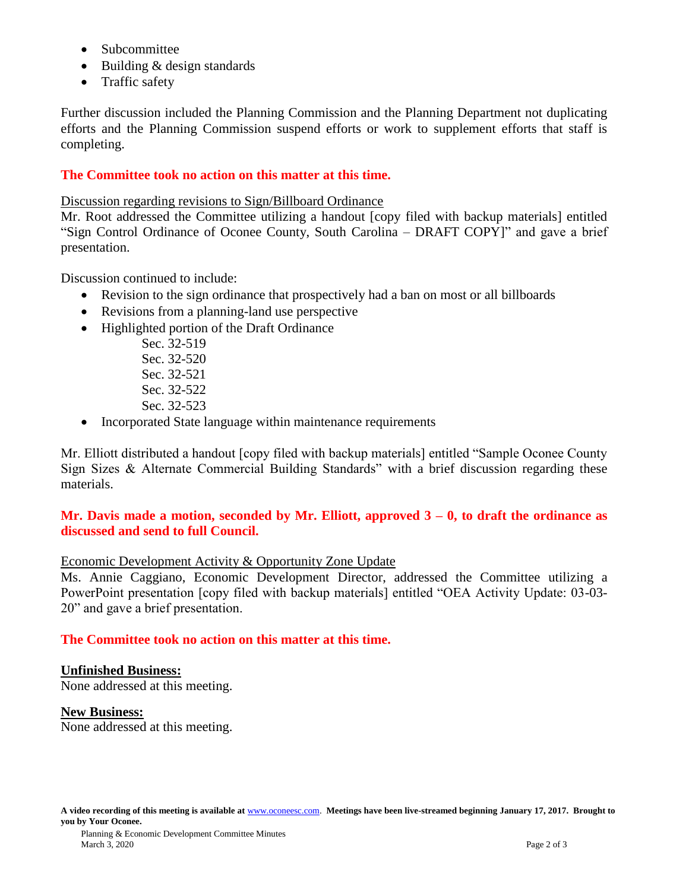- Subcommittee
- Building & design standards
- Traffic safety

Further discussion included the Planning Commission and the Planning Department not duplicating efforts and the Planning Commission suspend efforts or work to supplement efforts that staff is completing.

### **The Committee took no action on this matter at this time.**

Discussion regarding revisions to Sign/Billboard Ordinance

Mr. Root addressed the Committee utilizing a handout [copy filed with backup materials] entitled "Sign Control Ordinance of Oconee County, South Carolina – DRAFT COPY]" and gave a brief presentation.

Discussion continued to include:

- Revision to the sign ordinance that prospectively had a ban on most or all billboards
- Revisions from a planning-land use perspective
- Highlighted portion of the Draft Ordinance
	- Sec. 32-519 Sec. 32-520 Sec. 32-521 Sec. 32-522 Sec. 32-523
- Incorporated State language within maintenance requirements

Mr. Elliott distributed a handout [copy filed with backup materials] entitled "Sample Oconee County Sign Sizes & Alternate Commercial Building Standards" with a brief discussion regarding these materials.

#### **Mr. Davis made a motion, seconded by Mr. Elliott, approved 3 – 0, to draft the ordinance as discussed and send to full Council.**

### Economic Development Activity & Opportunity Zone Update

Ms. Annie Caggiano, Economic Development Director, addressed the Committee utilizing a PowerPoint presentation [copy filed with backup materials] entitled "OEA Activity Update: 03-03- 20" and gave a brief presentation.

### **The Committee took no action on this matter at this time.**

### **Unfinished Business:**

None addressed at this meeting.

#### **New Business:**

None addressed at this meeting.